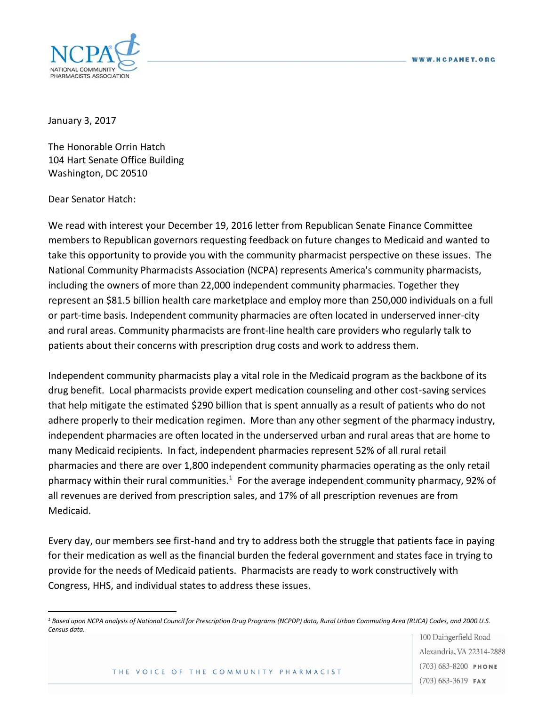

January 3, 2017

The Honorable Orrin Hatch 104 Hart Senate Office Building Washington, DC 20510

Dear Senator Hatch:

 $\overline{a}$ 

We read with interest your December 19, 2016 letter from Republican Senate Finance Committee members to Republican governors requesting feedback on future changes to Medicaid and wanted to take this opportunity to provide you with the community pharmacist perspective on these issues. The National Community Pharmacists Association (NCPA) represents America's community pharmacists, including the owners of more than 22,000 independent community pharmacies. Together they represent an \$81.5 billion health care marketplace and employ more than 250,000 individuals on a full or part-time basis. Independent community pharmacies are often located in underserved inner-city and rural areas. Community pharmacists are front-line health care providers who regularly talk to patients about their concerns with prescription drug costs and work to address them.

Independent community pharmacists play a vital role in the Medicaid program as the backbone of its drug benefit. Local pharmacists provide expert medication counseling and other cost-saving services that help mitigate the estimated \$290 billion that is spent annually as a result of patients who do not adhere properly to their medication regimen. More than any other segment of the pharmacy industry, independent pharmacies are often located in the underserved urban and rural areas that are home to many Medicaid recipients. In fact, independent pharmacies represent 52% of all rural retail pharmacies and there are over 1,800 independent community pharmacies operating as the only retail pharmacy within their rural communities.<sup>1</sup> For the average independent community pharmacy, 92% of all revenues are derived from prescription sales, and 17% of all prescription revenues are from Medicaid.

Every day, our members see first-hand and try to address both the struggle that patients face in paying for their medication as well as the financial burden the federal government and states face in trying to provide for the needs of Medicaid patients. Pharmacists are ready to work constructively with Congress, HHS, and individual states to address these issues.

100 Daingerfield Road Alexandria, VA 22314-2888  $(703) 683 - 8200$  PHONE  $(703)$  683-3619 FAX

THE VOICE OF THE COMMUNITY PHARMACIST

*<sup>1</sup> Based upon NCPA analysis of National Council for Prescription Drug Programs (NCPDP) data, Rural Urban Commuting Area (RUCA) Codes, and 2000 U.S. Census data.*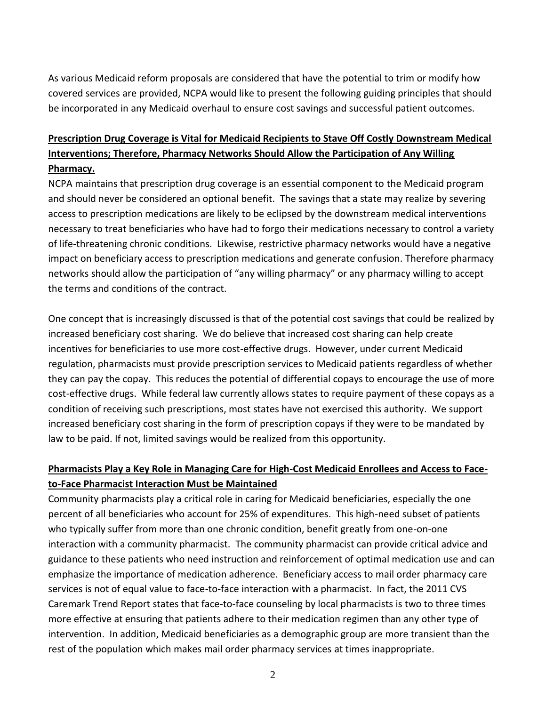As various Medicaid reform proposals are considered that have the potential to trim or modify how covered services are provided, NCPA would like to present the following guiding principles that should be incorporated in any Medicaid overhaul to ensure cost savings and successful patient outcomes.

## **Prescription Drug Coverage is Vital for Medicaid Recipients to Stave Off Costly Downstream Medical Interventions; Therefore, Pharmacy Networks Should Allow the Participation of Any Willing Pharmacy.**

NCPA maintains that prescription drug coverage is an essential component to the Medicaid program and should never be considered an optional benefit. The savings that a state may realize by severing access to prescription medications are likely to be eclipsed by the downstream medical interventions necessary to treat beneficiaries who have had to forgo their medications necessary to control a variety of life-threatening chronic conditions. Likewise, restrictive pharmacy networks would have a negative impact on beneficiary access to prescription medications and generate confusion. Therefore pharmacy networks should allow the participation of "any willing pharmacy" or any pharmacy willing to accept the terms and conditions of the contract.

One concept that is increasingly discussed is that of the potential cost savings that could be realized by increased beneficiary cost sharing. We do believe that increased cost sharing can help create incentives for beneficiaries to use more cost-effective drugs. However, under current Medicaid regulation, pharmacists must provide prescription services to Medicaid patients regardless of whether they can pay the copay. This reduces the potential of differential copays to encourage the use of more cost-effective drugs. While federal law currently allows states to require payment of these copays as a condition of receiving such prescriptions, most states have not exercised this authority. We support increased beneficiary cost sharing in the form of prescription copays if they were to be mandated by law to be paid. If not, limited savings would be realized from this opportunity.

## **Pharmacists Play a Key Role in Managing Care for High-Cost Medicaid Enrollees and Access to Faceto-Face Pharmacist Interaction Must be Maintained**

Community pharmacists play a critical role in caring for Medicaid beneficiaries, especially the one percent of all beneficiaries who account for 25% of expenditures. This high-need subset of patients who typically suffer from more than one chronic condition, benefit greatly from one-on-one interaction with a community pharmacist. The community pharmacist can provide critical advice and guidance to these patients who need instruction and reinforcement of optimal medication use and can emphasize the importance of medication adherence. Beneficiary access to mail order pharmacy care services is not of equal value to face-to-face interaction with a pharmacist. In fact, the 2011 CVS Caremark Trend Report states that face-to-face counseling by local pharmacists is two to three times more effective at ensuring that patients adhere to their medication regimen than any other type of intervention. In addition, Medicaid beneficiaries as a demographic group are more transient than the rest of the population which makes mail order pharmacy services at times inappropriate.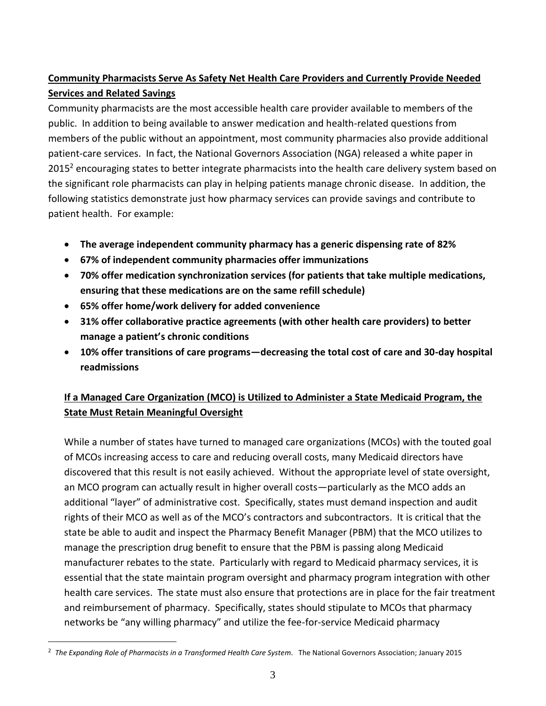## **Community Pharmacists Serve As Safety Net Health Care Providers and Currently Provide Needed Services and Related Savings**

Community pharmacists are the most accessible health care provider available to members of the public. In addition to being available to answer medication and health-related questions from members of the public without an appointment, most community pharmacies also provide additional patient-care services. In fact, the National Governors Association (NGA) released a white paper in 2015<sup>2</sup> encouraging states to better integrate pharmacists into the health care delivery system based on the significant role pharmacists can play in helping patients manage chronic disease. In addition, the following statistics demonstrate just how pharmacy services can provide savings and contribute to patient health. For example:

- **The average independent community pharmacy has a generic dispensing rate of 82%**
- **67% of independent community pharmacies offer immunizations**
- **70% offer medication synchronization services (for patients that take multiple medications, ensuring that these medications are on the same refill schedule)**
- **65% offer home/work delivery for added convenience**
- **31% offer collaborative practice agreements (with other health care providers) to better manage a patient's chronic conditions**
- **10% offer transitions of care programs—decreasing the total cost of care and 30-day hospital readmissions**

## **If a Managed Care Organization (MCO) is Utilized to Administer a State Medicaid Program, the State Must Retain Meaningful Oversight**

While a number of states have turned to managed care organizations (MCOs) with the touted goal of MCOs increasing access to care and reducing overall costs, many Medicaid directors have discovered that this result is not easily achieved. Without the appropriate level of state oversight, an MCO program can actually result in higher overall costs—particularly as the MCO adds an additional "layer" of administrative cost. Specifically, states must demand inspection and audit rights of their MCO as well as of the MCO's contractors and subcontractors. It is critical that the state be able to audit and inspect the Pharmacy Benefit Manager (PBM) that the MCO utilizes to manage the prescription drug benefit to ensure that the PBM is passing along Medicaid manufacturer rebates to the state. Particularly with regard to Medicaid pharmacy services, it is essential that the state maintain program oversight and pharmacy program integration with other health care services. The state must also ensure that protections are in place for the fair treatment and reimbursement of pharmacy. Specifically, states should stipulate to MCOs that pharmacy networks be "any willing pharmacy" and utilize the fee-for-service Medicaid pharmacy

 $\overline{a}$ 

<sup>2</sup> *The Expanding Role of Pharmacists in a Transformed Health Care System*. The National Governors Association; January 2015